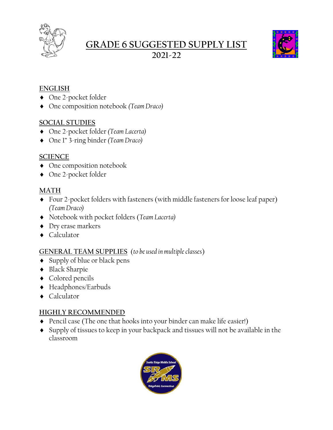

# **GRADE 6 SUGGESTED SUPPLY LIST 2021-22**



### **ENGLISH**

- ◆ One 2-pocket folder
- One composition notebook *(Team Draco)*

### **SOCIAL STUDIES**

- One 2-pocket folder *(Team Lacerta)*
- One 1" 3-ring binder *(Team Draco)*

### **SCIENCE**

- $\triangleleft$  One composition notebook
- ◆ One 2-pocket folder

### **MATH**

- Four 2-pocket folders with fasteners (with middle fasteners for loose leaf paper) *(Team Draco)*
- Notebook with pocket folders (*Team Lacerta)*
- Dry erase markers
- ◆ Calculator

## **GENERAL TEAM SUPPLIES** (*to be used in multiple classes*)

- Supply of blue or black pens
- Black Sharpie
- ◆ Colored pencils
- Headphones/Earbuds
- ◆ Calculator

## **HIGHLY RECOMMENDED**

- Pencil case (The one that hooks into your binder can make life easier!)
- Supply of tissues to keep in your backpack and tissues will not be available in the classroom